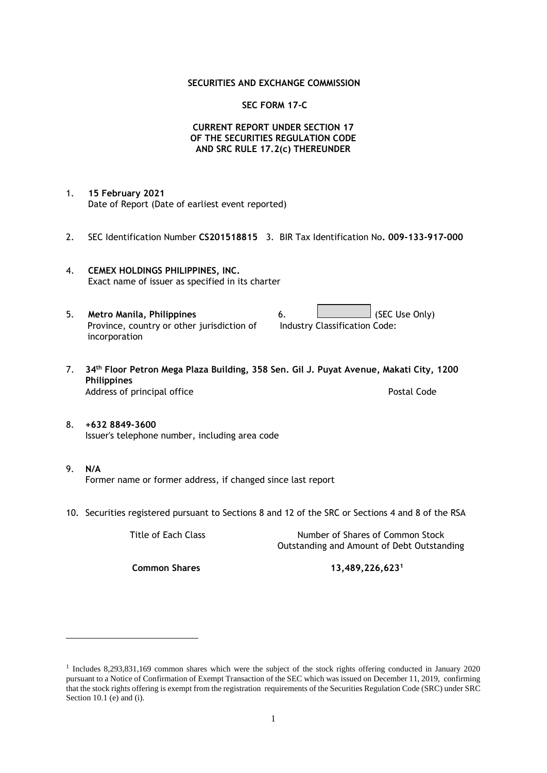## **SECURITIES AND EXCHANGE COMMISSION**

## **SEC FORM 17-C**

## **CURRENT REPORT UNDER SECTION 17 OF THE SECURITIES REGULATION CODE AND SRC RULE 17.2(c) THEREUNDER**

- 1. **15 February 2021** Date of Report (Date of earliest event reported)
- 2. SEC Identification Number **CS201518815** 3. BIR Tax Identification No**. 009-133-917-000**
- 4. **CEMEX HOLDINGS PHILIPPINES, INC.** Exact name of issuer as specified in its charter
- 5. **Metro Manila, Philippines** 6. **Consumers 6.** (SEC Use Only) Province, country or other jurisdiction of incorporation Industry Classification Code:
- 7. **34th Floor Petron Mega Plaza Building, 358 Sen. Gil J. Puyat Avenue, Makati City, 1200 Philippines** Address of principal office **Postal Code** Postal Code
- 8. **+632 8849-3600** Issuer's telephone number, including area code
- 9. **N/A** Former name or former address, if changed since last report
- 10. Securities registered pursuant to Sections 8 and 12 of the SRC or Sections 4 and 8 of the RSA

Title of Each Class Number of Shares of Common Stock Outstanding and Amount of Debt Outstanding

**Common Shares 13,489,226,623<sup>1</sup>**

<sup>1</sup> Includes 8,293,831,169 common shares which were the subject of the stock rights offering conducted in January 2020 pursuant to a Notice of Confirmation of Exempt Transaction of the SEC which was issued on December 11, 2019, confirming that the stock rights offering is exempt from the registration requirements of the Securities Regulation Code (SRC) under SRC Section 10.1 (e) and (i).